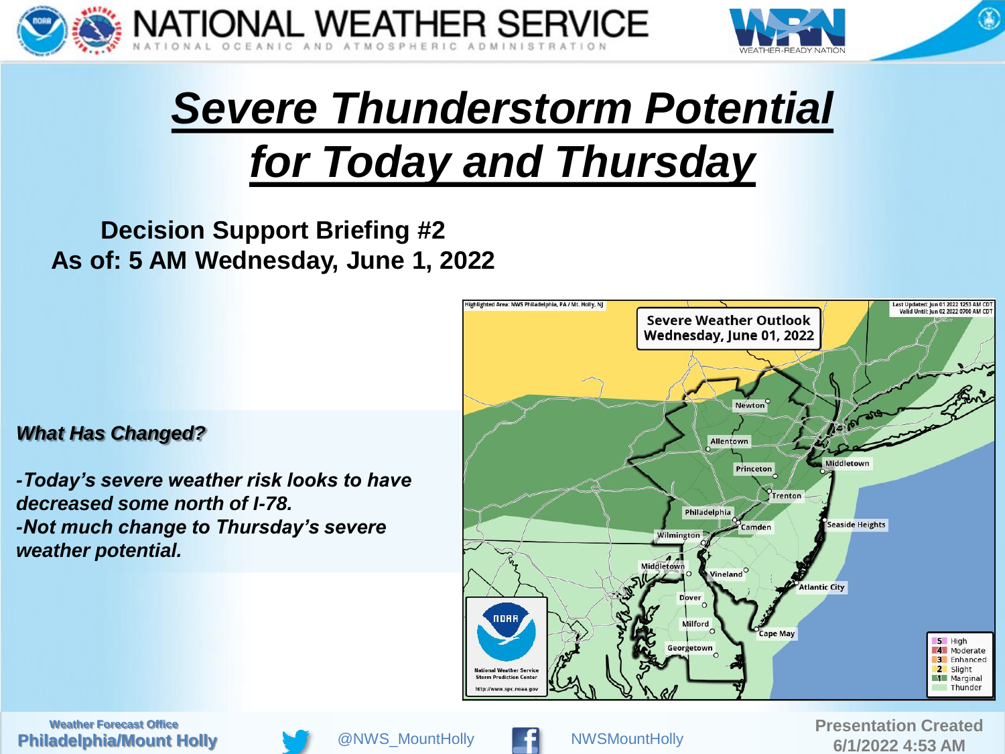



 $\circledast$ 

# *Severe Thunderstorm Potential for Today and Thursday*

#### **Decision Support Briefing #2 As of: 5 AM Wednesday, June 1, 2022**

#### *What Has Changed?*

*-Today's severe weather risk looks to have decreased some north of I-78. -Not much change to Thursday's severe weather potential.*



**Philadelphia/Mount Holly Weather Forecast Office Presentation Created** 





@ NWS\_MountHolly **Contract Contract ACCO 12022 4:53 AM**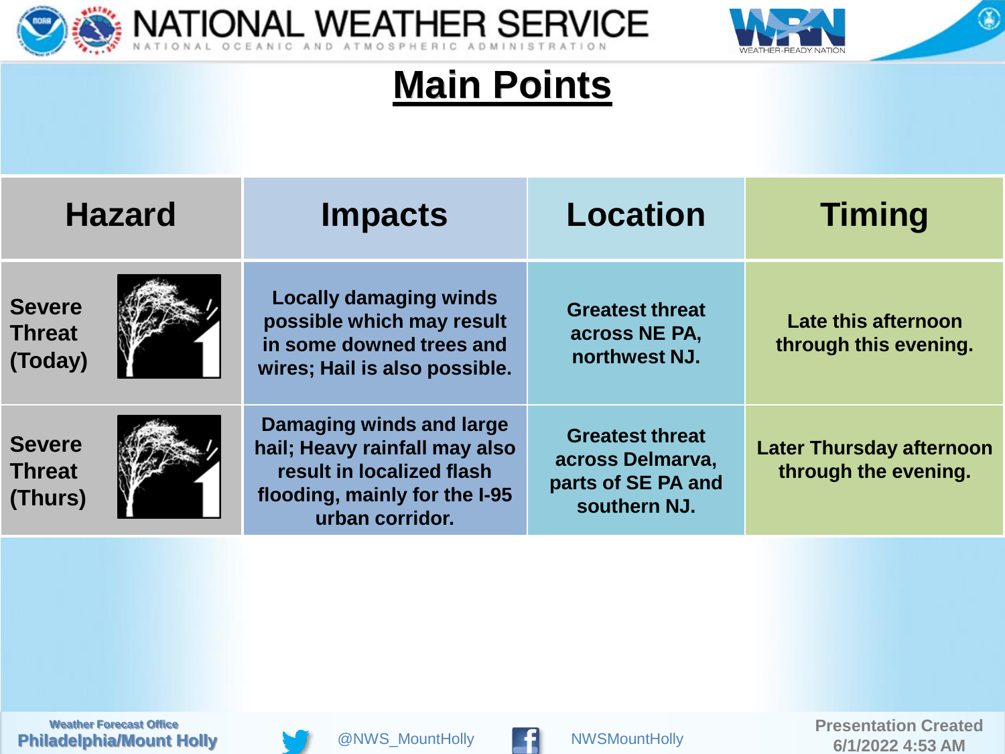



 $\circledast$ 

#### **Main Points**

| <b>Hazard</b>                             |  | <b>Impacts</b>                                                                                                                             | <b>Location</b>                                                                  | <b>Timing</b>                                           |
|-------------------------------------------|--|--------------------------------------------------------------------------------------------------------------------------------------------|----------------------------------------------------------------------------------|---------------------------------------------------------|
| <b>Severe</b><br><b>Threat</b><br>(Today) |  | <b>Locally damaging winds</b><br>possible which may result<br>in some downed trees and<br>wires; Hail is also possible.                    | <b>Greatest threat</b><br>across NE PA,<br>northwest NJ.                         | Late this afternoon<br>through this evening.            |
| <b>Severe</b><br><b>Threat</b><br>(Thurs) |  | Damaging winds and large<br>hail; Heavy rainfall may also<br>result in localized flash<br>flooding, mainly for the I-95<br>urban corridor. | <b>Greatest threat</b><br>across Delmarva.<br>parts of SE PA and<br>southern NJ. | <b>Later Thursday afternoon</b><br>through the evening. |





6/1/2022 4:53 AM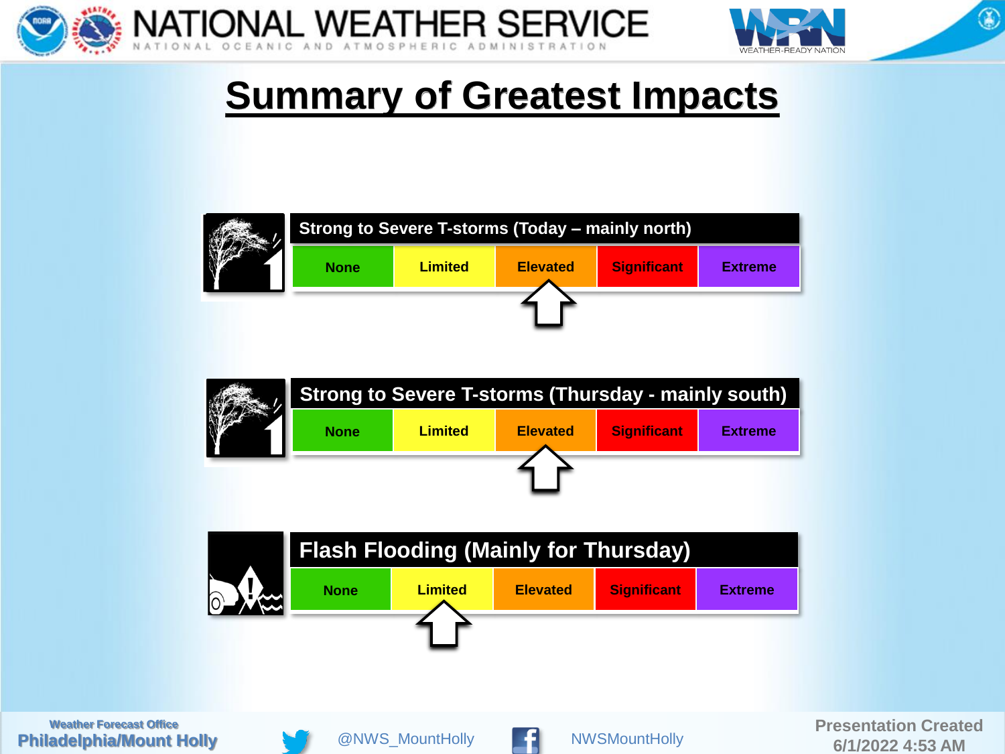



 $\circledast$ 

## **Summary of Greatest Impacts**





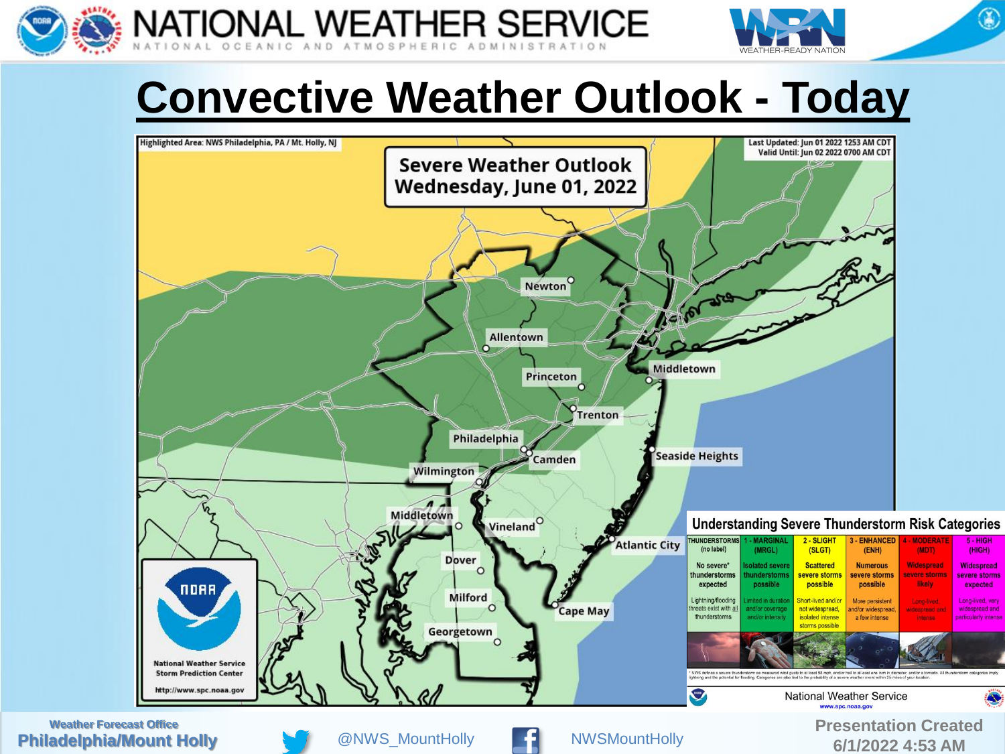

NATIONAL WEATHER SERVICE



# **Convective Weather Outlook - Today**



**Philadelphia/Mount Holly**





@ NWS\_MountHolly **Contract 1 and 1 and 1 and 1 and 1 and 1 and 1 and 1 and 1 and 1 and 1 and 1 and 1 and 1 and 1 and 1 and 1 and 1 and 1 and 1 and 1 and 1 and 1 and 1 and 1 and 1 and 1 and 1 and 1 and 1 and 1 and 1 and 1 a**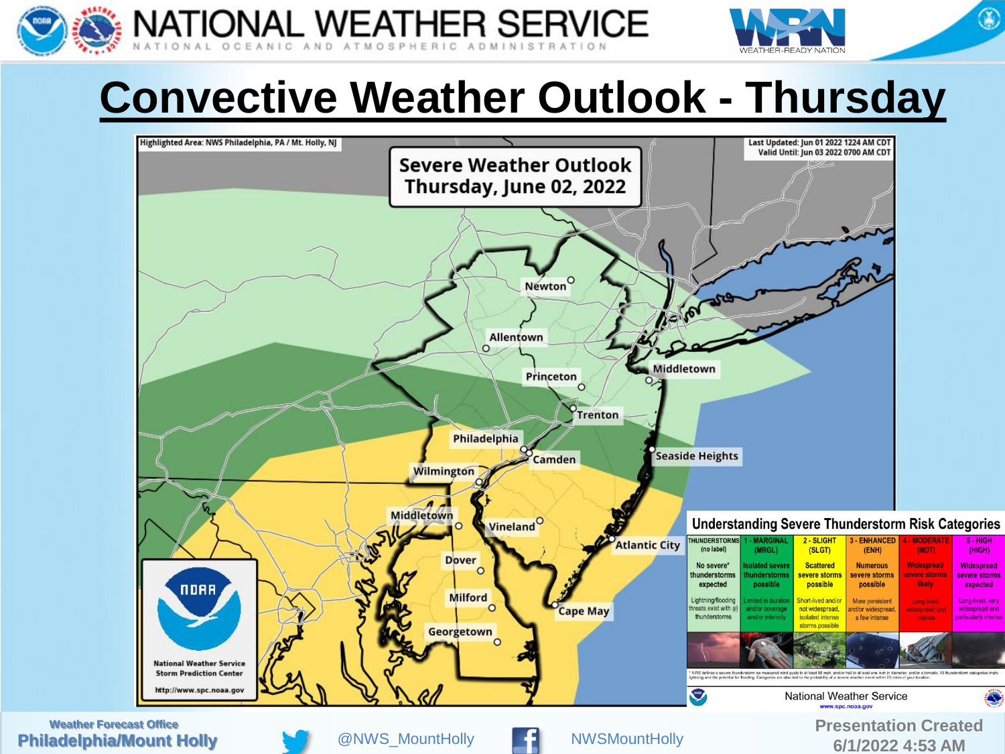

**NATIONAL WEATHER SERVICE** 



 $\circledast$ 

# **Convective Weather Outlook - Thursday**



**Philadelphia/Mount Holly**



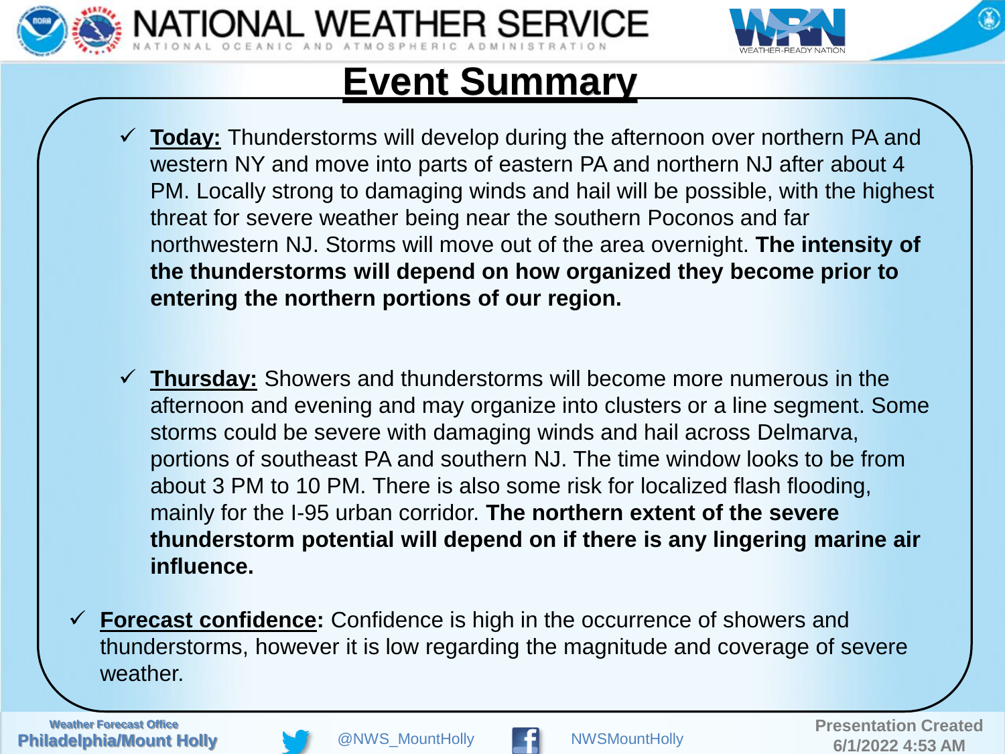



### **Event Summary**

*NAL WEATHER SERVICE* 

- **Today:** Thunderstorms will develop during the afternoon over northern PA and western NY and move into parts of eastern PA and northern NJ after about 4 PM. Locally strong to damaging winds and hail will be possible, with the highest threat for severe weather being near the southern Poconos and far northwestern NJ. Storms will move out of the area overnight. **The intensity of the thunderstorms will depend on how organized they become prior to entering the northern portions of our region.**
- **Thursday:** Showers and thunderstorms will become more numerous in the afternoon and evening and may organize into clusters or a line segment. Some storms could be severe with damaging winds and hail across Delmarva, portions of southeast PA and southern NJ. The time window looks to be from about 3 PM to 10 PM. There is also some risk for localized flash flooding, mainly for the I-95 urban corridor. **The northern extent of the severe thunderstorm potential will depend on if there is any lingering marine air influence.**
- **Forecast confidence:** Confidence is high in the occurrence of showers and thunderstorms, however it is low regarding the magnitude and coverage of severe weather.